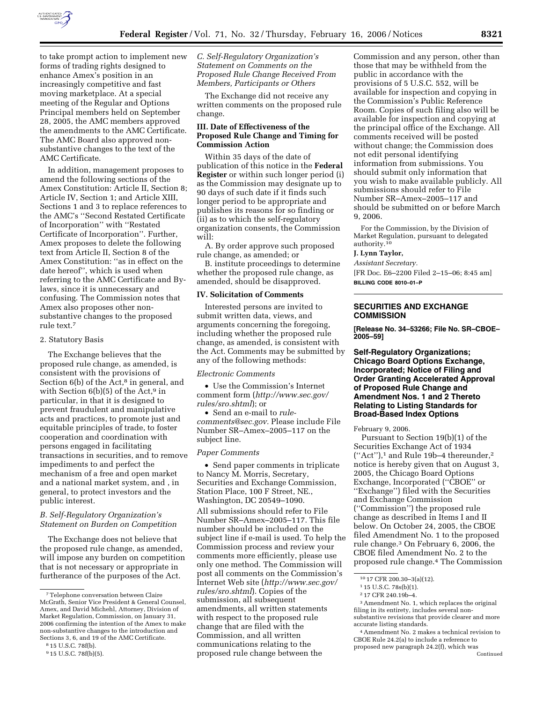

to take prompt action to implement new forms of trading rights designed to enhance Amex's position in an increasingly competitive and fast moving marketplace. At a special meeting of the Regular and Options Principal members held on September 28, 2005, the AMC members approved the amendments to the AMC Certificate. The AMC Board also approved nonsubstantive changes to the text of the AMC Certificate.

In addition, management proposes to amend the following sections of the Amex Constitution: Article II, Section 8; Article IV, Section 1; and Article XIII, Sections 1 and 3 to replace references to the AMC's ''Second Restated Certificate of Incorporation'' with ''Restated Certificate of Incorporation''. Further, Amex proposes to delete the following text from Article II, Section 8 of the Amex Constitution: ''as in effect on the date hereof'', which is used when referring to the AMC Certificate and Bylaws, since it is unnecessary and confusing. The Commission notes that Amex also proposes other nonsubstantive changes to the proposed rule text.7

#### 2. Statutory Basis

The Exchange believes that the proposed rule change, as amended, is consistent with the provisions of Section  $6(b)$  of the Act,<sup>8</sup> in general, and with Section  $6(b)(5)$  of the Act,<sup>9</sup> in particular, in that it is designed to prevent fraudulent and manipulative acts and practices, to promote just and equitable principles of trade, to foster cooperation and coordination with persons engaged in facilitating transactions in securities, and to remove impediments to and perfect the mechanism of a free and open market and a national market system, and , in general, to protect investors and the public interest.

#### *B. Self-Regulatory Organization's Statement on Burden on Competition*

The Exchange does not believe that the proposed rule change, as amended, will impose any burden on competition that is not necessary or appropriate in furtherance of the purposes of the Act.

*C. Self-Regulatory Organization's Statement on Comments on the Proposed Rule Change Received From Members, Participants or Others* 

The Exchange did not receive any written comments on the proposed rule change.

### **III. Date of Effectiveness of the Proposed Rule Change and Timing for Commission Action**

Within 35 days of the date of publication of this notice in the **Federal Register** or within such longer period (i) as the Commission may designate up to 90 days of such date if it finds such longer period to be appropriate and publishes its reasons for so finding or (ii) as to which the self-regulatory organization consents, the Commission will:

A. By order approve such proposed rule change, as amended; or

B. institute proceedings to determine whether the proposed rule change, as amended, should be disapproved.

### **IV. Solicitation of Comments**

Interested persons are invited to submit written data, views, and arguments concerning the foregoing, including whether the proposed rule change, as amended, is consistent with the Act. Comments may be submitted by any of the following methods:

#### *Electronic Comments*

• Use the Commission's Internet comment form (*http://www.sec.gov/ rules/sro.shtml*); or

• Send an e-mail to *rulecomments@sec.gov.* Please include File Number SR–Amex–2005–117 on the subject line.

#### *Paper Comments*

• Send paper comments in triplicate to Nancy M. Morris, Secretary, Securities and Exchange Commission, Station Place, 100 F Street, NE., Washington, DC 20549–1090.

All submissions should refer to File Number SR–Amex–2005–117. This file number should be included on the subject line if e-mail is used. To help the Commission process and review your comments more efficiently, please use only one method. The Commission will post all comments on the Commission's Internet Web site (*http://www.sec.gov/ rules/sro.shtml*). Copies of the submission, all subsequent amendments, all written statements with respect to the proposed rule change that are filed with the Commission, and all written communications relating to the proposed rule change between the

Commission and any person, other than those that may be withheld from the public in accordance with the provisions of 5 U.S.C. 552, will be available for inspection and copying in the Commission's Public Reference Room. Copies of such filing also will be available for inspection and copying at the principal office of the Exchange. All comments received will be posted without change; the Commission does not edit personal identifying information from submissions. You should submit only information that you wish to make available publicly. All submissions should refer to File Number SR–Amex–2005–117 and should be submitted on or before March 9, 2006.

For the Commission, by the Division of Market Regulation, pursuant to delegated authority.10

### **J. Lynn Taylor,**

*Assistant Secretary.*  [FR Doc. E6–2200 Filed 2–15–06; 8:45 am] **BILLING CODE 8010–01–P** 

# **SECURITIES AND EXCHANGE COMMISSION**

**[Release No. 34–53266; File No. SR–CBOE– 2005–59]** 

**Self-Regulatory Organizations; Chicago Board Options Exchange, Incorporated; Notice of Filing and Order Granting Accelerated Approval of Proposed Rule Change and Amendment Nos. 1 and 2 Thereto Relating to Listing Standards for Broad-Based Index Options** 

February 9, 2006.

Pursuant to Section 19(b)(1) of the Securities Exchange Act of 1934  $("Act")$ ,<sup>1</sup> and Rule 19b-4 thereunder,<sup>2</sup> notice is hereby given that on August 3, 2005, the Chicago Board Options Exchange, Incorporated (''CBOE'' or ''Exchange'') filed with the Securities and Exchange Commission (''Commission'') the proposed rule change as described in Items I and II below. On October 24, 2005, the CBOE filed Amendment No. 1 to the proposed rule change.3 On February 6, 2006, the CBOE filed Amendment No. 2 to the proposed rule change.4 The Commission

2 17 CFR 240.19b–4.

3Amendment No. 1, which replaces the original filing in its entirety, includes several nonsubstantive revisions that provide clearer and more accurate listing standards.

4Amendment No. 2 makes a technical revision to CBOE Rule 24.2(a) to include a reference to proposed new paragraph 24.2(f), which was Continued

<sup>7</sup>Telephone conversation between Claire McGrath, Senior Vice President & General Counsel, Amex, and David Michehl, Attorney, Division of Market Regulation, Commission, on January 31, 2006 confirming the intention of the Amex to make non-substantive changes to the introduction and Sections 3, 6, and 19 of the AMC Certificate.

<sup>8</sup> 15 U.S.C. 78f(b).

<sup>9</sup> 15 U.S.C. 78f(b)(5).

<sup>10</sup> 17 CFR 200.30–3(a)(12).

<sup>1</sup> 15 U.S.C. 78s(b)(1).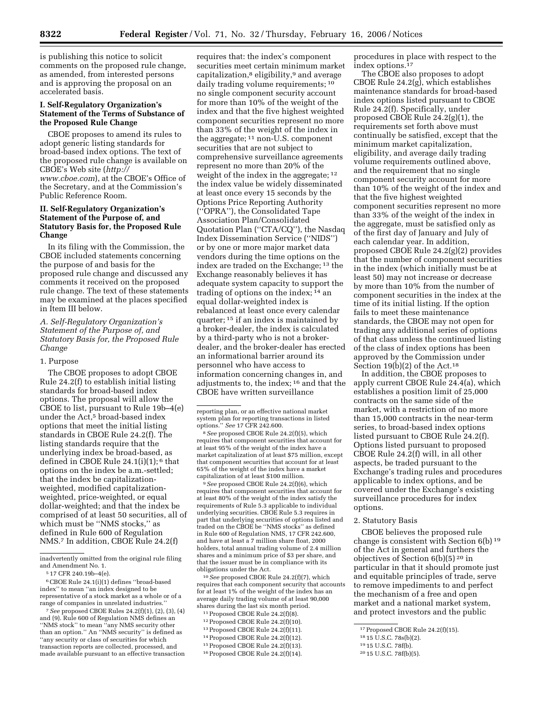is publishing this notice to solicit comments on the proposed rule change, as amended, from interested persons and is approving the proposal on an accelerated basis.

### **I. Self-Regulatory Organization's Statement of the Terms of Substance of the Proposed Rule Change**

CBOE proposes to amend its rules to adopt generic listing standards for broad-based index options. The text of the proposed rule change is available on CBOE's Web site (*http:// www.cboe.com*), at the CBOE's Office of the Secretary, and at the Commission's Public Reference Room.

## **II. Self-Regulatory Organization's Statement of the Purpose of, and Statutory Basis for, the Proposed Rule Change**

In its filing with the Commission, the CBOE included statements concerning the purpose of and basis for the proposed rule change and discussed any comments it received on the proposed rule change. The text of these statements may be examined at the places specified in Item III below.

## *A. Self-Regulatory Organization's Statement of the Purpose of, and Statutory Basis for, the Proposed Rule Change*

#### 1. Purpose

The CBOE proposes to adopt CBOE Rule 24.2(f) to establish initial listing standards for broad-based index options. The proposal will allow the CBOE to list, pursuant to Rule 19b–4(e) under the Act,<sup>5</sup> broad-based index options that meet the initial listing standards in CBOE Rule 24.2(f). The listing standards require that the underlying index be broad-based, as defined in CBOE Rule 24.1(i)(1); 6 that options on the index be a.m.-settled; that the index be capitalizationweighted, modified capitalizationweighted, price-weighted, or equal dollar-weighted; and that the index be comprised of at least 50 securities, all of which must be ''NMS stocks,'' as defined in Rule 600 of Regulation NMS.7 In addition, CBOE Rule 24.2(f)

6CBOE Rule 24.1(i)(1) defines ''broad-based index'' to mean ''an index designed to be representative of a stock market as a whole or of a range of companies in unrelated industries.

7*See* proposed CBOE Rules 24.2(f)(1), (2), (3), (4) and (9). Rule 600 of Regulation NMS defines an ''NMS stock'' to mean ''any NMS security other than an option.'' An ''NMS security'' is defined as ''any security or class of securities for which transaction reports are collected, processed, and made available pursuant to an effective transaction requires that: the index's component securities meet certain minimum market capitalization,<sup>8</sup> eligibility,<sup>9</sup> and average daily trading volume requirements; 10 no single component security account for more than 10% of the weight of the index and that the five highest weighted component securities represent no more than 33% of the weight of the index in the aggregate; 11 non-U.S. component securities that are not subject to comprehensive surveillance agreements represent no more than 20% of the weight of the index in the aggregate; 12 the index value be widely disseminated at least once every 15 seconds by the Options Price Reporting Authority (''OPRA''), the Consolidated Tape Association Plan/Consolidated Quotation Plan (''CTA/CQ''), the Nasdaq Index Dissemination Service (''NIDS'') or by one or more major market data vendors during the time options on the index are traded on the Exchange; 13 the Exchange reasonably believes it has adequate system capacity to support the trading of options on the index; 14 an equal dollar-weighted index is rebalanced at least once every calendar quarter; 15 if an index is maintained by a broker-dealer, the index is calculated by a third-party who is not a brokerdealer, and the broker-dealer has erected an informational barrier around its personnel who have access to information concerning changes in, and adjustments to, the index; 16 and that the CBOE have written surveillance

9*See* proposed CBOE Rule 24.2(f)(6), which requires that component securities that account for at least 80% of the weight of the index satisfy the requirements of Rule 5.3 applicable to individual underlying securities. CBOE Rule 5.3 requires in part that underlying securities of options listed and traded on the CBOE be "NMS stocks" as defined in Rule 600 of Regulation NMS, 17 CFR 242.600, and have at least a 7 million share float, 2000 holders, total annual trading volume of 2.4 million shares and a minimum price of \$3 per share, and that the issuer must be in compliance with its obligations under the Act.

10*See* proposed CBOE Rule 24.2(f)(7), which requires that each component security that accounts for at least 1% of the weight of the index has an average daily trading volume of at least 90,000 shares during the last six month period.

- 11Proposed CBOE Rule 24.2(f)(8).
- 12Proposed CBOE Rule 24.2(f)(10).
- 13Proposed CBOE Rule 24.2(f)(11). 14Proposed CBOE Rule 24.2(f)(12).
- 15Proposed CBOE Rule 24.2(f)(13).
- 16Proposed CBOE Rule 24.2(f)(14).

procedures in place with respect to the index options.17

The CBOE also proposes to adopt CBOE Rule 24.2(g), which establishes maintenance standards for broad-based index options listed pursuant to CBOE Rule 24.2(f). Specifically, under proposed CBOE Rule 24.2(g)(1), the requirements set forth above must continually be satisfied, except that the minimum market capitalization, eligibility, and average daily trading volume requirements outlined above, and the requirement that no single component security account for more than 10% of the weight of the index and that the five highest weighted component securities represent no more than 33% of the weight of the index in the aggregate, must be satisfied only as of the first day of January and July of each calendar year. In addition, proposed CBOE Rule 24.2(g)(2) provides that the number of component securities in the index (which initially must be at least 50) may not increase or decrease by more than 10% from the number of component securities in the index at the time of its initial listing. If the option fails to meet these maintenance standards, the CBOE may not open for trading any additional series of options of that class unless the continued listing of the class of index options has been approved by the Commission under Section  $19(b)(2)$  of the Act.<sup>18</sup>

In addition, the CBOE proposes to apply current CBOE Rule 24.4(a), which establishes a position limit of 25,000 contracts on the same side of the market, with a restriction of no more than 15,000 contracts in the near-term series, to broad-based index options listed pursuant to CBOE Rule 24.2(f). Options listed pursuant to proposed CBOE Rule 24.2(f) will, in all other aspects, be traded pursuant to the Exchange's trading rules and procedures applicable to index options, and be covered under the Exchange's existing surveillance procedures for index options.

### 2. Statutory Basis

CBOE believes the proposed rule change is consistent with Section 6(b) 19 of the Act in general and furthers the objectives of Section 6(b)(5) 20 in particular in that it should promote just and equitable principles of trade, serve to remove impediments to and perfect the mechanism of a free and open market and a national market system, and protect investors and the public

inadvertently omitted from the original rule filing and Amendment No. 1.

<sup>5</sup> 17 CFR 240.19b–4(e).

reporting plan, or an effective national market system plan for reporting transactions in listed options.'' *See* 17 CFR 242.600.

<sup>8</sup>*See* proposed CBOE Rule 24.2(f)(5), which requires that component securities that account for at least 95% of the weight of the index have a market capitalization of at least \$75 million, except that component securities that account for at least 65% of the weight of the index have a market capitalization of at least \$100 million.

<sup>17</sup>Proposed CBOE Rule 24.2(f)(15).

<sup>18</sup> 15 U.S.C. 78s(b)(2).

<sup>19</sup> 15 U.S.C. 78f(b).

<sup>20</sup> 15 U.S.C. 78f(b)(5).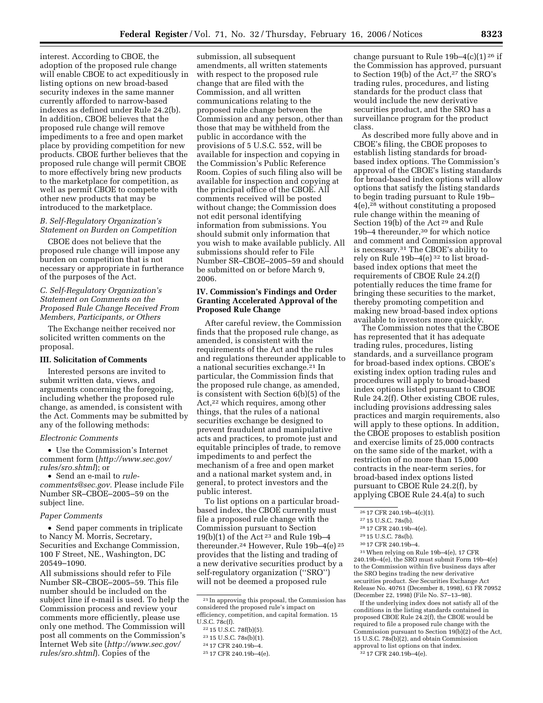interest. According to CBOE, the adoption of the proposed rule change will enable CBOE to act expeditiously in listing options on new broad-based security indexes in the same manner currently afforded to narrow-based indexes as defined under Rule 24.2(b). In addition, CBOE believes that the proposed rule change will remove impediments to a free and open market place by providing competition for new products. CBOE further believes that the proposed rule change will permit CBOE to more effectively bring new products to the marketplace for competition, as well as permit CBOE to compete with other new products that may be introduced to the marketplace.

## *B. Self-Regulatory Organization's Statement on Burden on Competition*

CBOE does not believe that the proposed rule change will impose any burden on competition that is not necessary or appropriate in furtherance of the purposes of the Act.

## *C. Self-Regulatory Organization's Statement on Comments on the Proposed Rule Change Received From Members, Participants, or Others*

The Exchange neither received nor solicited written comments on the proposal.

#### **III. Solicitation of Comments**

Interested persons are invited to submit written data, views, and arguments concerning the foregoing, including whether the proposed rule change, as amended, is consistent with the Act. Comments may be submitted by any of the following methods:

#### *Electronic Comments*

• Use the Commission's Internet comment form (*http://www.sec.gov/ rules/sro.shtml*); or

• Send an e-mail to *rulecomments@sec.gov.* Please include File Number SR–CBOE–2005–59 on the subject line.

#### *Paper Comments*

• Send paper comments in triplicate to Nancy M. Morris, Secretary, Securities and Exchange Commission, 100 F Street, NE., Washington, DC 20549–1090.

All submissions should refer to File Number SR–CBOE–2005–59. This file number should be included on the subject line if e-mail is used. To help the Commission process and review your comments more efficiently, please use only one method. The Commission will post all comments on the Commission's Internet Web site (*http://www.sec.gov/ rules/sro.shtml*). Copies of the

submission, all subsequent amendments, all written statements with respect to the proposed rule change that are filed with the Commission, and all written communications relating to the proposed rule change between the Commission and any person, other than those that may be withheld from the public in accordance with the provisions of 5 U.S.C. 552, will be available for inspection and copying in the Commission's Public Reference Room. Copies of such filing also will be available for inspection and copying at the principal office of the CBOE. All comments received will be posted without change; the Commission does not edit personal identifying information from submissions. You should submit only information that you wish to make available publicly. All submissions should refer to File Number SR–CBOE–2005–59 and should be submitted on or before March 9, 2006.

#### **IV. Commission's Findings and Order Granting Accelerated Approval of the Proposed Rule Change**

After careful review, the Commission finds that the proposed rule change, as amended, is consistent with the requirements of the Act and the rules and regulations thereunder applicable to a national securities exchange.21 In particular, the Commission finds that the proposed rule change, as amended, is consistent with Section 6(b)(5) of the Act,<sup>22</sup> which requires, among other things, that the rules of a national securities exchange be designed to prevent fraudulent and manipulative acts and practices, to promote just and equitable principles of trade, to remove impediments to and perfect the mechanism of a free and open market and a national market system and, in general, to protect investors and the public interest.

To list options on a particular broadbased index, the CBOE currently must file a proposed rule change with the Commission pursuant to Section 19(b)(1) of the Act 23 and Rule 19b–4 thereunder.24 However, Rule 19b–4(e) 25 provides that the listing and trading of a new derivative securities product by a self-regulatory organization (''SRO'') will not be deemed a proposed rule

23 15 U.S.C. 78s(b)(1).

change pursuant to Rule  $19b-4(c)(1)^{26}$  if the Commission has approved, pursuant to Section 19(b) of the Act,<sup>27</sup> the SRO's trading rules, procedures, and listing standards for the product class that would include the new derivative securities product, and the SRO has a surveillance program for the product class.

As described more fully above and in CBOE's filing, the CBOE proposes to establish listing standards for broadbased index options. The Commission's approval of the CBOE's listing standards for broad-based index options will allow options that satisfy the listing standards to begin trading pursuant to Rule 19b– 4(e),28 without constituting a proposed rule change within the meaning of Section 19(b) of the Act<sup>29</sup> and Rule 19b–4 thereunder,30 for which notice and comment and Commission approval is necessary.31 The CBOE's ability to rely on Rule 19b–4(e) 32 to list broadbased index options that meet the requirements of CBOE Rule 24.2(f) potentially reduces the time frame for bringing these securities to the market, thereby promoting competition and making new broad-based index options available to investors more quickly.

The Commission notes that the CBOE has represented that it has adequate trading rules, procedures, listing standards, and a surveillance program for broad-based index options. CBOE's existing index option trading rules and procedures will apply to broad-based index options listed pursuant to CBOE Rule 24.2(f). Other existing CBOE rules, including provisions addressing sales practices and margin requirements, also will apply to these options. In addition, the CBOE proposes to establish position and exercise limits of 25,000 contracts on the same side of the market, with a restriction of no more than 15,000 contracts in the near-term series, for broad-based index options listed pursuant to CBOE Rule 24.2(f), by applying CBOE Rule 24.4(a) to such

- 28 17 CFR 240.19b–4(e).
- 29 15 U.S.C. 78s(b).
- 30 17 CFR 240.19b–4.

31When relying on Rule 19b–4(e), 17 CFR 240.19b–4(e), the SRO must submit Form 19b–4(e) to the Commission within five business days after the SRO begins trading the new derivative securities product. *See* Securities Exchange Act Release No. 40761 (December 8, 1998), 63 FR 70952 (December 22, 1998) (File No. S7–13–98).

If the underlying index does not satisfy all of the conditions in the listing standards contained in proposed CBOE Rule 24.2(f), the CBOE would be required to file a proposed rule change with the Commission pursuant to Section 19(b)(2) of the Act, 15 U.S.C. 78s(b)(2), and obtain Commission approval to list options on that index.

32 17 CFR 240.19b–4(e).

<sup>21</sup> In approving this proposal, the Commission has considered the proposed rule's impact on efficiency, competition, and capital formation. 15 U.S.C. 78c(f).

<sup>22</sup> 15 U.S.C. 78f(b)(5).

<sup>24</sup> 17 CFR 240.19b–4.

<sup>25</sup> 17 CFR 240.19b–4(e).

<sup>26</sup> 17 CFR 240.19b–4(c)(1).

<sup>27</sup> 15 U.S.C. 78s(b).